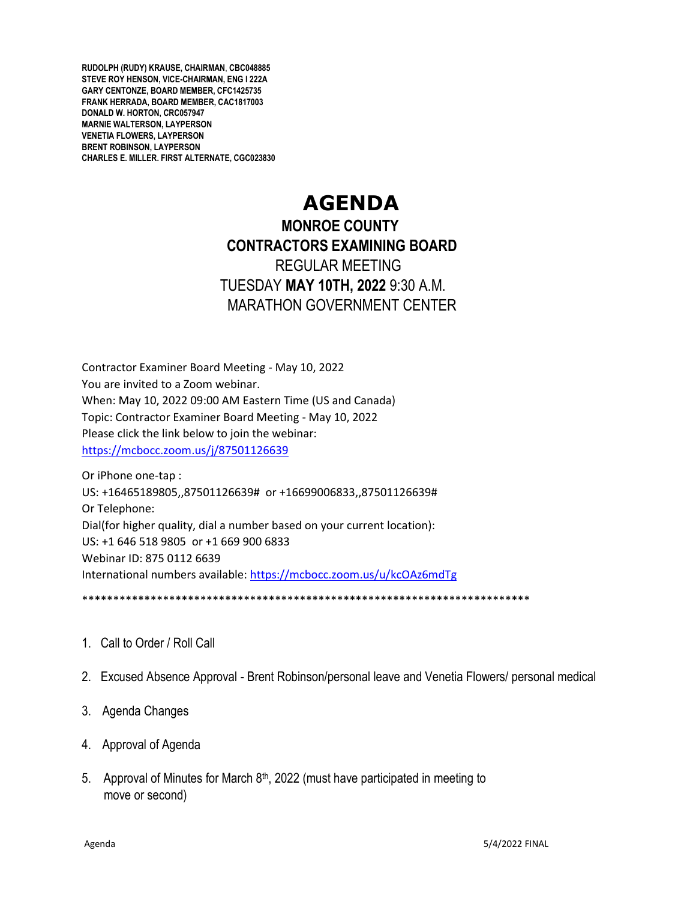**RUDOLPH (RUDY) KRAUSE, CHAIRMAN**, **CBC048885 STEVE ROY HENSON, VICE-CHAIRMAN, ENG I 222A GARY CENTONZE, BOARD MEMBER, CFC1425735 FRANK HERRADA, BOARD MEMBER, CAC1817003 DONALD W. HORTON, CRC057947 MARNIE WALTERSON, LAYPERSON VENETIA FLOWERS, LAYPERSON BRENT ROBINSON, LAYPERSON CHARLES E. MILLER. FIRST ALTERNATE, CGC023830**

# **AGENDA**

## **MONROE COUNTY CONTRACTORS EXAMINING BOARD** REGULAR MEETING TUESDAY **MAY 10TH, 2022** 9:30 A.M. MARATHON GOVERNMENT CENTER

Contractor Examiner Board Meeting - May 10, 2022 You are invited to a Zoom webinar. When: May 10, 2022 09:00 AM Eastern Time (US and Canada) Topic: Contractor Examiner Board Meeting - May 10, 2022 Please click the link below to join the webinar: <https://mcbocc.zoom.us/j/87501126639>

Or iPhone one-tap : US: +16465189805,,87501126639# or +16699006833,,87501126639# Or Telephone: Dial(for higher quality, dial a number based on your current location): US: +1 646 518 9805 or +1 669 900 6833 Webinar ID: 875 0112 6639 International numbers available:<https://mcbocc.zoom.us/u/kcOAz6mdTg>

\*\*\*\*\*\*\*\*\*\*\*\*\*\*\*\*\*\*\*\*\*\*\*\*\*\*\*\*\*\*\*\*\*\*\*\*\*\*\*\*\*\*\*\*\*\*\*\*\*\*\*\*\*\*\*\*\*\*\*\*\*\*\*\*\*\*\*\*\*\*\*\*

- 1. Call to Order / Roll Call
- 2. Excused Absence Approval Brent Robinson/personal leave and Venetia Flowers/ personal medical
- 3. Agenda Changes
- 4. Approval of Agenda
- 5. Approval of Minutes for March  $8<sup>th</sup>$ , 2022 (must have participated in meeting to move or second)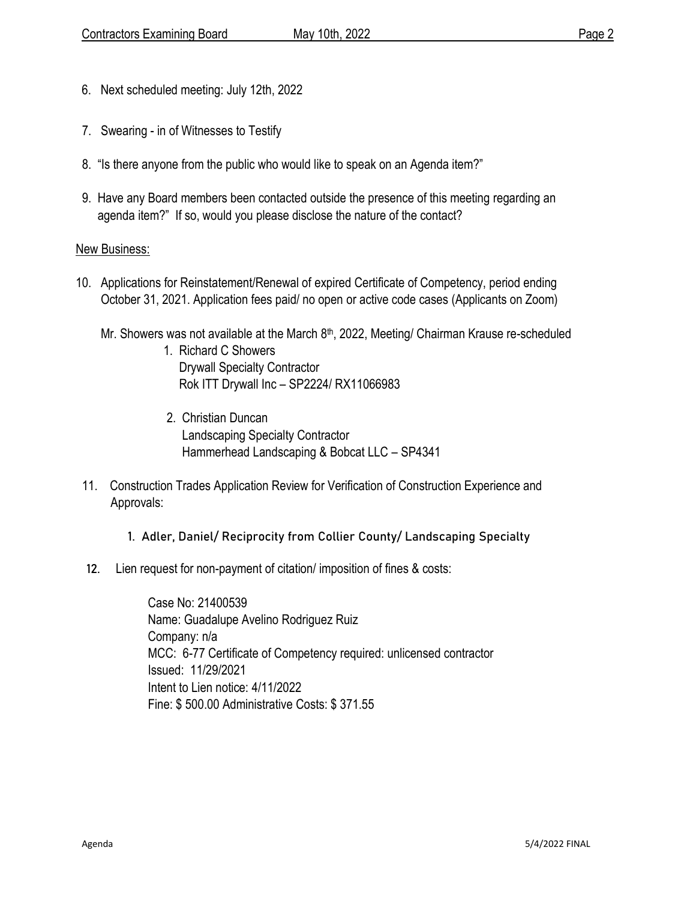- 6. Next scheduled meeting: July 12th, 2022
- 7. Swearing in of Witnesses to Testify
- 8. "Is there anyone from the public who would like to speak on an Agenda item?"
- 9. Have any Board members been contacted outside the presence of this meeting regarding an agenda item?" If so, would you please disclose the nature of the contact?

#### New Business:

- 10. Applications for Reinstatement/Renewal of expired Certificate of Competency, period ending October 31, 2021. Application fees paid/ no open or active code cases (Applicants on Zoom)
- Mr. Showers was not available at the March  $8<sup>th</sup>$ , 2022, Meeting/ Chairman Krause re-scheduled 1. Richard C Showers
	- Drywall Specialty Contractor Rok ITT Drywall Inc – SP2224/ RX11066983
	- 2. Christian Duncan Landscaping Specialty Contractor Hammerhead Landscaping & Bobcat LLC – SP4341
	- 11. Construction Trades Application Review for Verification of Construction Experience and Approvals:
		- 1. Adler, Daniel/ Reciprocity from Collier County/ Landscaping Specialty
	- 12. Lien request for non-payment of citation/ imposition of fines & costs:

 Case No: 21400539 Name: Guadalupe Avelino Rodriguez Ruiz Company: n/a MCC: 6-77 Certificate of Competency required: unlicensed contractor Issued: 11/29/2021 Intent to Lien notice: 4/11/2022 Fine: \$ 500.00 Administrative Costs: \$ 371.55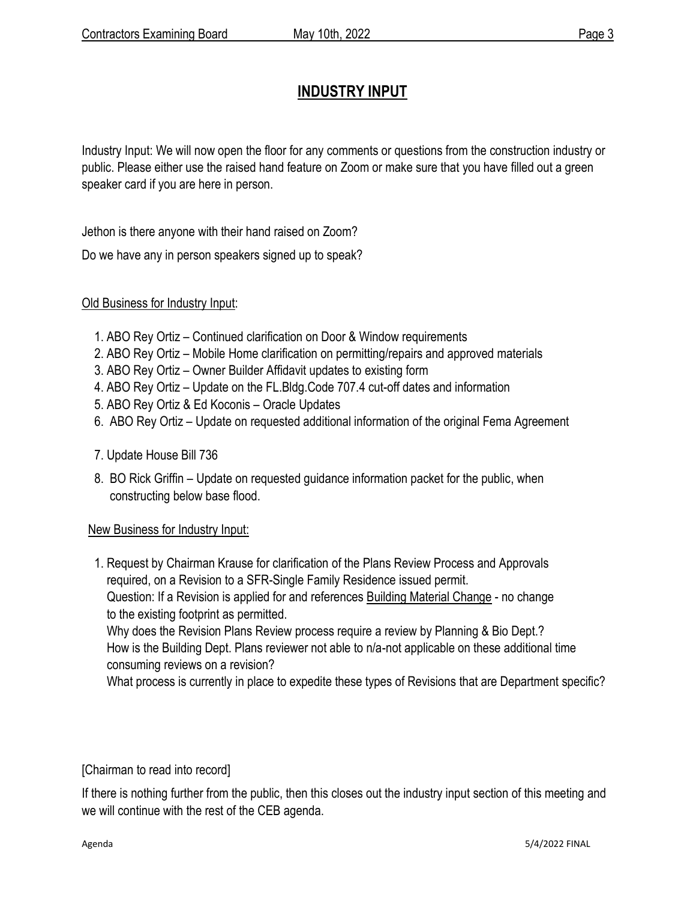### **INDUSTRY INPUT**

Industry Input: We will now open the floor for any comments or questions from the construction industry or public. Please either use the raised hand feature on Zoom or make sure that you have filled out a green speaker card if you are here in person.

Jethon is there anyone with their hand raised on Zoom?

Do we have any in person speakers signed up to speak?

#### Old Business for Industry Input:

- 1. ABO Rey Ortiz Continued clarification on Door & Window requirements
- 2. ABO Rey Ortiz Mobile Home clarification on permitting/repairs and approved materials
- 3. ABO Rey Ortiz Owner Builder Affidavit updates to existing form
- 4. ABO Rey Ortiz Update on the FL.Bldg.Code 707.4 cut-off dates and information
- 5. ABO Rey Ortiz & Ed Koconis Oracle Updates
- 6. ABO Rey Ortiz Update on requested additional information of the original Fema Agreement
- 7. Update House Bill 736
- 8. BO Rick Griffin Update on requested guidance information packet for the public, when constructing below base flood.

#### New Business for Industry Input:

 1. Request by Chairman Krause for clarification of the Plans Review Process and Approvals required, on a Revision to a SFR-Single Family Residence issued permit. Question: If a Revision is applied for and references Building Material Change - no change to the existing footprint as permitted. Why does the Revision Plans Review process require a review by Planning & Bio Dept.? How is the Building Dept. Plans reviewer not able to n/a-not applicable on these additional time

consuming reviews on a revision?

What process is currently in place to expedite these types of Revisions that are Department specific?

[Chairman to read into record]

If there is nothing further from the public, then this closes out the industry input section of this meeting and we will continue with the rest of the CEB agenda.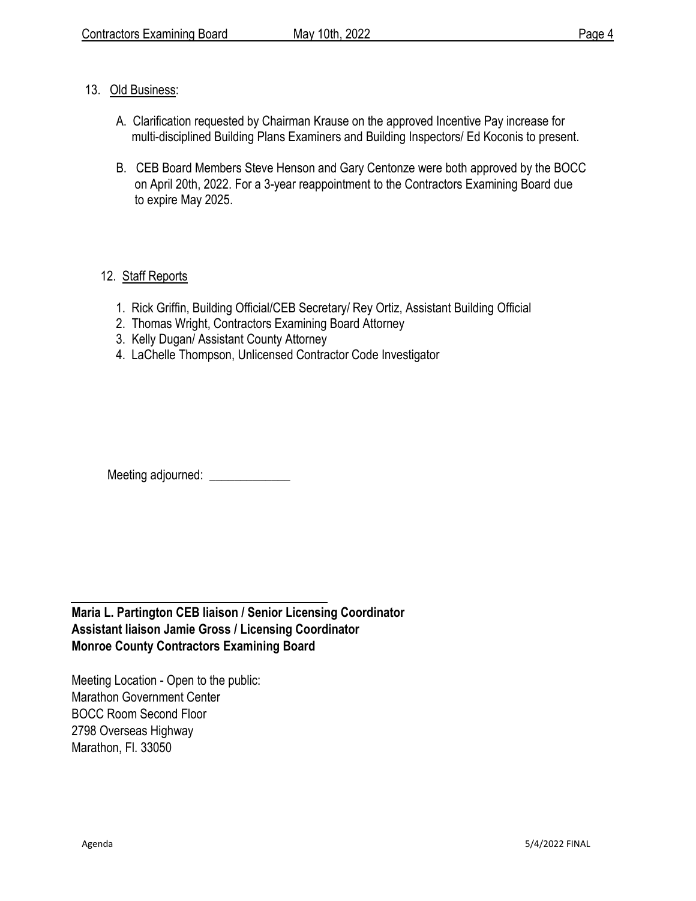#### 13. Old Business:

- A. Clarification requested by Chairman Krause on the approved Incentive Pay increase for multi-disciplined Building Plans Examiners and Building Inspectors/ Ed Koconis to present.
- B. CEB Board Members Steve Henson and Gary Centonze were both approved by the BOCC on April 20th, 2022. For a 3-year reappointment to the Contractors Examining Board due to expire May 2025.

### 12. Staff Reports

- 1. Rick Griffin, Building Official/CEB Secretary/ Rey Ortiz, Assistant Building Official
- 2. Thomas Wright, Contractors Examining Board Attorney
- 3. Kelly Dugan/ Assistant County Attorney
- 4. LaChelle Thompson, Unlicensed Contractor Code Investigator

Meeting adjourned: \_\_\_\_\_\_\_\_\_\_\_\_\_

**Maria L. Partington CEB liaison / Senior Licensing Coordinator Assistant liaison Jamie Gross / Licensing Coordinator Monroe County Contractors Examining Board**

Meeting Location - Open to the public: Marathon Government Center BOCC Room Second Floor 2798 Overseas Highway Marathon, Fl. 33050